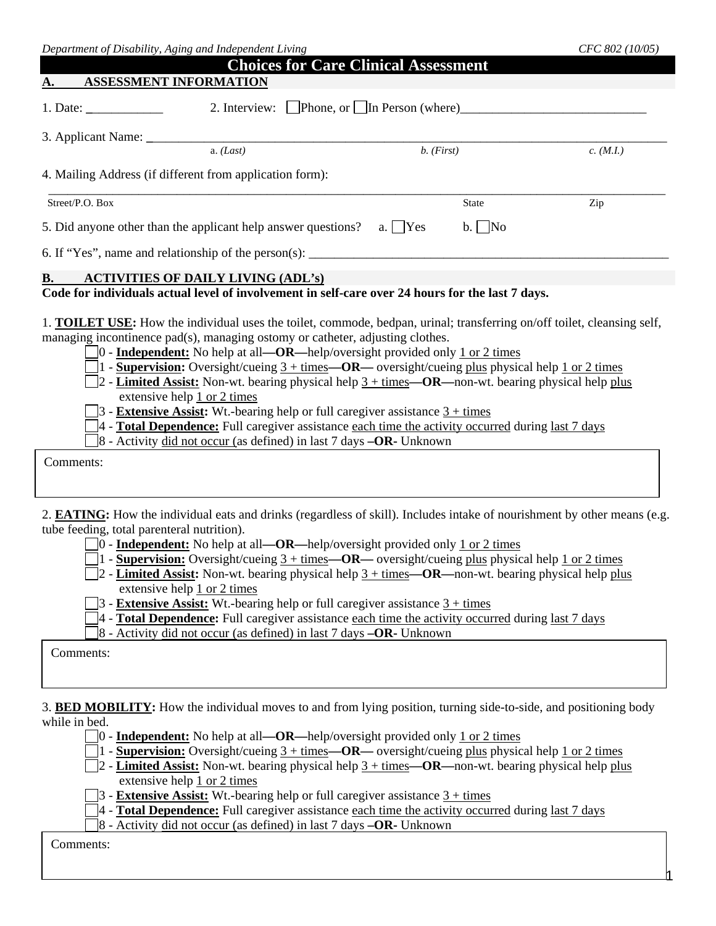| Department of Disability, Aging and Independent Living                                                                                                                                                                                                                                                                                                                                                                                                                                                                                                                                                                                                                                                                                                                                                                                             |                                             | CFC 802 (10/05) |
|----------------------------------------------------------------------------------------------------------------------------------------------------------------------------------------------------------------------------------------------------------------------------------------------------------------------------------------------------------------------------------------------------------------------------------------------------------------------------------------------------------------------------------------------------------------------------------------------------------------------------------------------------------------------------------------------------------------------------------------------------------------------------------------------------------------------------------------------------|---------------------------------------------|-----------------|
| <b>ASSESSMENT INFORMATION</b><br><u>A.</u>                                                                                                                                                                                                                                                                                                                                                                                                                                                                                                                                                                                                                                                                                                                                                                                                         | <b>Choices for Care Clinical Assessment</b> |                 |
| 1. Date: $\frac{1}{\sqrt{1-\frac{1}{2}} \cdot \frac{1}{2}}$<br>2. Interview: $\Box$ Phone, or $\Box$ In Person (where)                                                                                                                                                                                                                                                                                                                                                                                                                                                                                                                                                                                                                                                                                                                             |                                             |                 |
|                                                                                                                                                                                                                                                                                                                                                                                                                                                                                                                                                                                                                                                                                                                                                                                                                                                    |                                             |                 |
| a. (Last)                                                                                                                                                                                                                                                                                                                                                                                                                                                                                                                                                                                                                                                                                                                                                                                                                                          | $b.$ (First)                                | c. (M.I.)       |
| 4. Mailing Address (if different from application form):                                                                                                                                                                                                                                                                                                                                                                                                                                                                                                                                                                                                                                                                                                                                                                                           |                                             |                 |
| Street/P.O. Box                                                                                                                                                                                                                                                                                                                                                                                                                                                                                                                                                                                                                                                                                                                                                                                                                                    | <b>State</b>                                | Zip             |
| 5. Did anyone other than the applicant help answer questions?                                                                                                                                                                                                                                                                                                                                                                                                                                                                                                                                                                                                                                                                                                                                                                                      | a. $\Box$ Yes<br>$b. \Box$ No               |                 |
| 6. If "Yes", name and relationship of the person(s): $\frac{1}{1}$                                                                                                                                                                                                                                                                                                                                                                                                                                                                                                                                                                                                                                                                                                                                                                                 |                                             |                 |
| <b>ACTIVITIES OF DAILY LIVING (ADL's)</b><br><b>B.</b>                                                                                                                                                                                                                                                                                                                                                                                                                                                                                                                                                                                                                                                                                                                                                                                             |                                             |                 |
| Code for individuals actual level of involvement in self-care over 24 hours for the last 7 days.                                                                                                                                                                                                                                                                                                                                                                                                                                                                                                                                                                                                                                                                                                                                                   |                                             |                 |
| $\Box$ 2 - Limited Assist: Non-wt. bearing physical help $3 + \text{times}$ —OR—non-wt. bearing physical help plus<br>extensive help 1 or 2 times<br>$3$ - <b>Extensive Assist:</b> Wt.-bearing help or full caregiver assistance $3 + \text{times}$<br>4 - Total <b>Dependence:</b> Full caregiver assistance each time the activity occurred during last 7 days<br>$\beta$ - Activity did not occur (as defined) in last 7 days $-\text{OR}$ - Unknown<br>Comments:                                                                                                                                                                                                                                                                                                                                                                              |                                             |                 |
| 2. <b>EATING:</b> How the individual eats and drinks (regardless of skill). Includes intake of nourishment by other means (e.g.<br>tube feeding, total parenteral nutrition).<br>$\Box$ 0 - <b>Independent:</b> No help at all—OR—help/oversight provided only 1 or 2 times<br>1 - <b>Supervision:</b> Oversight/cueing $3 + \text{times}$ - OR — oversight/cueing plus physical help 1 or 2 times<br>2 - Limited Assist: Non-wt. bearing physical help $3 + \text{times}$ —OR—non-wt. bearing physical help plus<br>extensive help 1 or 2 times<br>3 - <b>Extensive Assist:</b> Wt.-bearing help or full caregiver assistance $3 + \text{times}$<br>4 - <b>Total Dependence:</b> Full caregiver assistance each time the activity occurred during last 7 days<br>8 - Activity did not occur (as defined) in last 7 days -OR- Unknown<br>Comments: |                                             |                 |

while in bed.

0 - **Independent:** No help at all**—OR—**help/oversight provided only 1 or 2 times

1 - **Supervision:** Oversight/cueing 3 + times**—OR—** oversight/cueing plus physical help 1 or 2 times

2 - **Limited Assist:** Non-wt. bearing physical help 3 + times**—OR—**non-wt. bearing physical help plus extensive help  $\frac{1}{1}$  or 2 times

1

3 - **Extensive Assist:** Wt.-bearing help or full caregiver assistance 3 + times

4 - **Total Dependence:** Full caregiver assistance each time the activity occurred during last 7 days

8 - Activity did not occur (as defined) in last 7 days **–OR-** Unknown

Comments: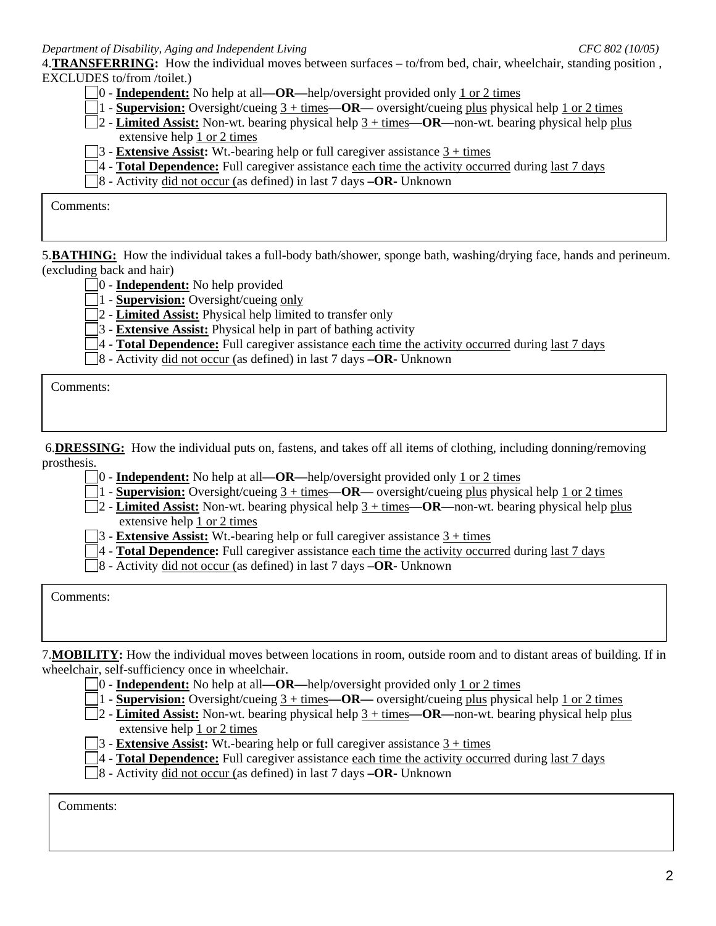4.**TRANSFERRING:** How the individual moves between surfaces – to/from bed, chair, wheelchair, standing position , EXCLUDES to/from /toilet.)

- 0 **Independent:** No help at all**—OR—**help/oversight provided only 1 or 2 times
- 1 - **Supervision:** Oversight/cueing 3 + times**—OR—** oversight/cueing plus physical help 1 or 2 times
- 2 - **Limited Assist:** Non-wt. bearing physical help 3 + times**—OR—**non-wt. bearing physical help plus extensive help 1 or 2 times
- 3 - **Extensive Assist:** Wt.-bearing help or full caregiver assistance 3 + times
- 4 - **Total Dependence:** Full caregiver assistance each time the activity occurred during last 7 days
- 8 Activity did not occur (as defined) in last 7 days **–OR-** Unknown

Comments:

5.**BATHING:** How the individual takes a full-body bath/shower, sponge bath, washing/drying face, hands and perineum. (excluding back and hair)

- 0 **Independent:** No help provided
- 1 - **Supervision:** Oversight/cueing only

2 - **Limited Assist:** Physical help limited to transfer only

3 - **Extensive Assist:** Physical help in part of bathing activity

4 - **Total Dependence:** Full caregiver assistance each time the activity occurred during last 7 days

8 - Activity did not occur (as defined) in last 7 days **–OR-** Unknown

Comments:

6.**DRESSING:** How the individual puts on, fastens, and takes off all items of clothing, including donning/removing prosthesis.

- 0 **Independent:** No help at all**—OR—**help/oversight provided only 1 or 2 times
- 1 - **Supervision:** Oversight/cueing 3 + times**—OR—** oversight/cueing plus physical help 1 or 2 times
- 2 - **Limited Assist:** Non-wt. bearing physical help 3 + times**—OR—**non-wt. bearing physical help plus extensive help 1 or 2 times
- 3 - **Extensive Assist:** Wt.-bearing help or full caregiver assistance 3 + times
- 4 - **Total Dependence:** Full caregiver assistance each time the activity occurred during last 7 days
- 8 Activity did not occur (as defined) in last 7 days **–OR-** Unknown

Comments:

7.**MOBILITY:** How the individual moves between locations in room, outside room and to distant areas of building. If in wheelchair, self-sufficiency once in wheelchair.

- 0 **Independent:** No help at all**—OR—**help/oversight provided only 1 or 2 times
- 1 - **Supervision:** Oversight/cueing 3 + times**—OR—** oversight/cueing plus physical help 1 or 2 times
- 2 - **Limited Assist:** Non-wt. bearing physical help 3 + times**—OR—**non-wt. bearing physical help plus extensive help 1 or 2 times
- 3 - **Extensive Assist:** Wt.-bearing help or full caregiver assistance 3 + times
- 4 - **Total Dependence:** Full caregiver assistance each time the activity occurred during last 7 days
- 8 Activity did not occur (as defined) in last 7 days **–OR-** Unknown

Comments: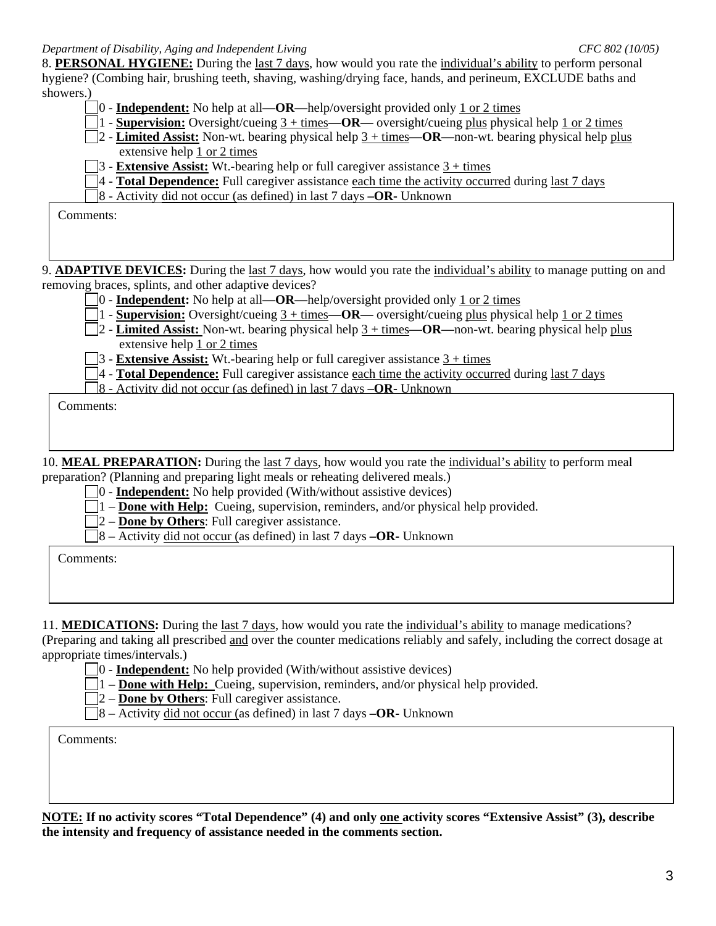8. **PERSONAL HYGIENE:** During the last 7 days, how would you rate the individual's ability to perform personal hygiene? (Combing hair, brushing teeth, shaving, washing/drying face, hands, and perineum, EXCLUDE baths and showers.)

- 0 **Independent:** No help at all**—OR—**help/oversight provided only 1 or 2 times
- 1 - **Supervision:** Oversight/cueing 3 + times**—OR—** oversight/cueing plus physical help 1 or 2 times
- 2 - **Limited Assist:** Non-wt. bearing physical help 3 + times**—OR—**non-wt. bearing physical help plus extensive help 1 or 2 times
- 3 - **Extensive Assist:** Wt.-bearing help or full caregiver assistance 3 + times
- 4 - **Total Dependence:** Full caregiver assistance each time the activity occurred during last 7 days
- 8 Activity did not occur (as defined) in last 7 days **–OR-** Unknown

Comments:

9. **ADAPTIVE DEVICES:** During the last 7 days, how would you rate the individual's ability to manage putting on and removing braces, splints, and other adaptive devices?

- 0 **Independent:** No help at all**—OR—**help/oversight provided only 1 or 2 times
- 1 - **Supervision:** Oversight/cueing 3 + times**—OR—** oversight/cueing plus physical help 1 or 2 times
- 2 - **Limited Assist:** Non-wt. bearing physical help 3 + times**—OR—**non-wt. bearing physical help plus extensive help 1 or 2 times
- 3 - **Extensive Assist:** Wt.-bearing help or full caregiver assistance 3 + times
- 4 - **Total Dependence:** Full caregiver assistance each time the activity occurred during last 7 days
- 8 Activity did not occur (as defined) in last 7 days **–OR-** Unknown

Comments:

10. **MEAL PREPARATION:** During the last 7 days, how would you rate the individual's ability to perform meal preparation? (Planning and preparing light meals or reheating delivered meals.)

0 - **Independent:** No help provided (With/without assistive devices)

- 1 – **Done with Help:** Cueing, supervision, reminders, and/or physical help provided.
- 2 **Done by Others**: Full caregiver assistance.
- 8 Activity did not occur (as defined) in last 7 days **–OR-** Unknown

Comments:

11. **MEDICATIONS:** During the last 7 days, how would you rate the individual's ability to manage medications?

(Preparing and taking all prescribed and over the counter medications reliably and safely, including the correct dosage at appropriate times/intervals.)

- 0 **Independent:** No help provided (With/without assistive devices)
- 1 – **Done with Help:** Cueing, supervision, reminders, and/or physical help provided.
- 2 **Done by Others**: Full caregiver assistance.
- 8 Activity did not occur (as defined) in last 7 days **–OR-** Unknown

Comments:

**NOTE: If no activity scores "Total Dependence" (4) and only one activity scores "Extensive Assist" (3), describe the intensity and frequency of assistance needed in the comments section.**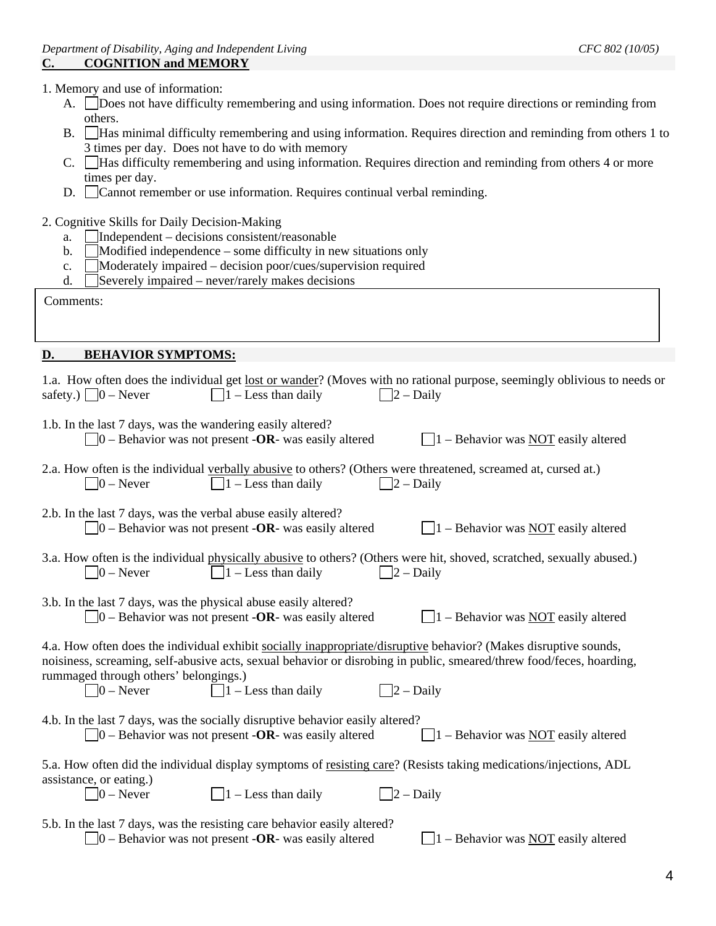1. Memory and use of information:

- A. Does not have difficulty remembering and using information. Does not require directions or reminding from others.
- B. Has minimal difficulty remembering and using information. Requires direction and reminding from others 1 to 3 times per day. Does not have to do with memory
- C. Has difficulty remembering and using information. Requires direction and reminding from others 4 or more times per day.
- D. Cannot remember or use information. Requires continual verbal reminding.
- 2. Cognitive Skills for Daily Decision-Making
	- a.  $\Box$ Independent decisions consistent/reasonable
	- b.  $\Box$  Modified independence some difficulty in new situations only
	- c. Moderately impaired decision poor/cues/supervision required
	- d. Severely impaired never/rarely makes decisions

| Comments: |
|-----------|
|-----------|

## **D. BEHAVIOR SYMPTOMS:**

| 1.a. How often does the individual get lost or wander? (Moves with no rational purpose, seemingly oblivious to needs or<br>safety.) $\Box$ 0 – Never<br>$\Box$ 1 – Less than daily<br>$\Box$ 2 – Daily                                                                                                                                                  |
|---------------------------------------------------------------------------------------------------------------------------------------------------------------------------------------------------------------------------------------------------------------------------------------------------------------------------------------------------------|
| 1.b. In the last 7 days, was the wandering easily altered?<br>$\vert$ = 0 – Behavior was not present <b>-OR</b> - was easily altered<br>$\Box$ 1 – Behavior was NOT easily altered                                                                                                                                                                      |
| 2.a. How often is the individual verbally abusive to others? (Others were threatened, screamed at, cursed at.)<br>$\Box$ 1 – Less than daily<br>$\Box$ 2 – Daily<br>$ 0 -$ Never                                                                                                                                                                        |
| 2.b. In the last 7 days, was the verbal abuse easily altered?<br>$\Box$ 0 – Behavior was not present - <b>OR</b> - was easily altered<br>$\Box$ 1 – Behavior was NOT easily altered                                                                                                                                                                     |
| 3.a. How often is the individual physically abusive to others? (Others were hit, shoved, scratched, sexually abused.)<br>$\Box$ 1 – Less than daily<br>$\Box$ 2 – Daily<br>$ 0 -$ Never                                                                                                                                                                 |
| 3.b. In the last 7 days, was the physical abuse easily altered?<br>$1 -$ Behavior was NOT easily altered<br>$\Box$ 0 – Behavior was not present - <b>OR</b> - was easily altered                                                                                                                                                                        |
| 4.a. How often does the individual exhibit socially inappropriate/disruptive behavior? (Makes disruptive sounds,<br>noisiness, screaming, self-abusive acts, sexual behavior or disrobing in public, smeared/threw food/feces, hoarding,<br>rummaged through others' belongings.)<br>$\Box$ 1 – Less than daily<br>$\Box$ 0 – Never<br>$\Box$ 2 – Daily |
| 4.b. In the last 7 days, was the socially disruptive behavior easily altered?<br>$\Box$ O – Behavior was not present - <b>OR</b> - was easily altered<br>$\Box$ 1 – Behavior was NOT easily altered                                                                                                                                                     |
| 5.a. How often did the individual display symptoms of resisting care? (Resists taking medications/injections, ADL<br>assistance, or eating.)<br>$\Box$ 1 – Less than daily<br>$\Box$ 0 – Never<br>$\Box$ 2 – Daily                                                                                                                                      |
| 5.b. In the last 7 days, was the resisting care behavior easily altered?<br>$\vert 0$ – Behavior was not present -OR- was easily altered<br>$\vert$ 1 – Behavior was NOT easily altered                                                                                                                                                                 |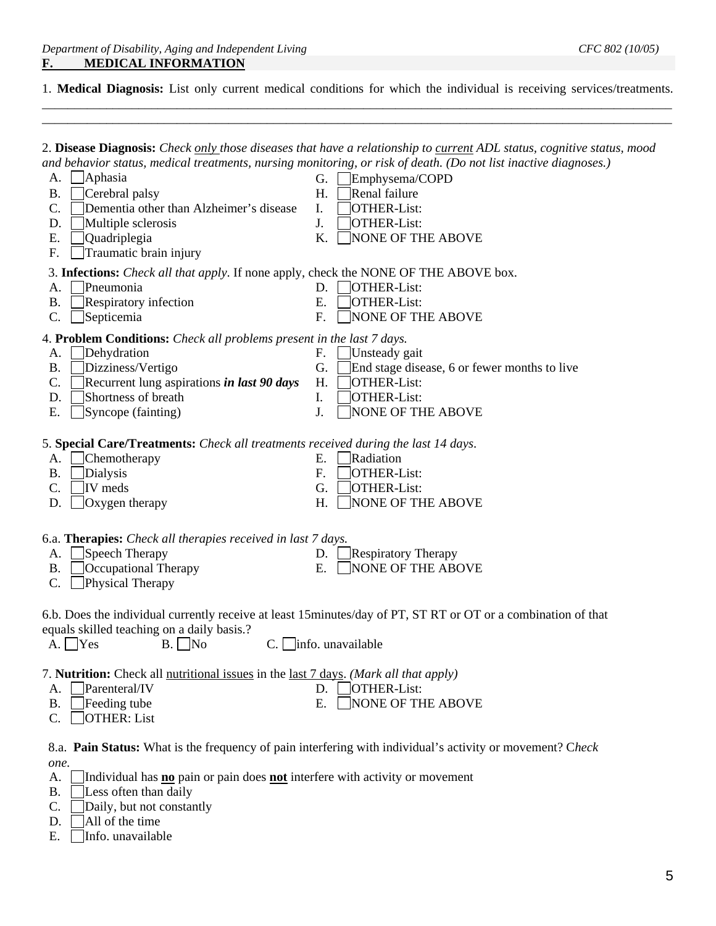1. **Medical Diagnosis:** List only current medical conditions for which the individual is receiving services/treatments. \_\_\_\_\_\_\_\_\_\_\_\_\_\_\_\_\_\_\_\_\_\_\_\_\_\_\_\_\_\_\_\_\_\_\_\_\_\_\_\_\_\_\_\_\_\_\_\_\_\_\_\_\_\_\_\_\_\_\_\_\_\_\_\_\_\_\_\_\_\_\_\_\_\_\_\_\_\_\_\_\_\_\_\_\_\_\_\_\_\_\_\_\_\_\_\_\_\_

\_\_\_\_\_\_\_\_\_\_\_\_\_\_\_\_\_\_\_\_\_\_\_\_\_\_\_\_\_\_\_\_\_\_\_\_\_\_\_\_\_\_\_\_\_\_\_\_\_\_\_\_\_\_\_\_\_\_\_\_\_\_\_\_\_\_\_\_\_\_\_\_\_\_\_\_\_\_\_\_\_\_\_\_\_\_\_\_\_\_\_\_\_\_\_\_\_\_

|                                                                                                 | 2. Disease Diagnosis: Check only those diseases that have a relationship to current ADL status, cognitive status, mood |
|-------------------------------------------------------------------------------------------------|------------------------------------------------------------------------------------------------------------------------|
|                                                                                                 | and behavior status, medical treatments, nursing monitoring, or risk of death. (Do not list inactive diagnoses.)       |
| <b>Aphasia</b><br>A.                                                                            | G.<br>Emphysema/COPD                                                                                                   |
| Cerebral palsy<br>Β.                                                                            | Renal failure<br>H.                                                                                                    |
| C.<br>Dementia other than Alzheimer's disease                                                   | <b>OTHER-List:</b><br>I.                                                                                               |
| Multiple sclerosis<br>D.                                                                        | J.<br>OTHER-List:                                                                                                      |
| Ε.<br>Quadriplegia                                                                              | NONE OF THE ABOVE<br>K.                                                                                                |
| Traumatic brain injury<br>F.                                                                    |                                                                                                                        |
| 3. Infections: <i>Check all that apply</i> . If none apply, check the NONE OF THE ABOVE box.    |                                                                                                                        |
| Pneumonia<br>А.                                                                                 | OTHER-List:<br>D.                                                                                                      |
| Respiratory infection<br><b>B.</b>                                                              | E.<br><b>OTHER-List:</b>                                                                                               |
| Septicemia<br>C.                                                                                | F.<br><b>NONE OF THE ABOVE</b>                                                                                         |
| 4. Problem Conditions: Check all problems present in the last 7 days.                           |                                                                                                                        |
| Dehydration<br>A.                                                                               | F.<br>Unsteady gait                                                                                                    |
| Dizziness/Vertigo<br><b>B.</b>                                                                  | G.<br>End stage disease, 6 or fewer months to live                                                                     |
| Recurrent lung aspirations <i>in last 90 days</i><br>C.                                         | H.<br><b>OTHER-List:</b>                                                                                               |
| Shortness of breath<br>D.                                                                       | I.<br>OTHER-List:                                                                                                      |
| Ε.<br>Syncope (fainting)                                                                        | J.<br>NONE OF THE ABOVE                                                                                                |
|                                                                                                 |                                                                                                                        |
| 5. Special Care/Treatments: Check all treatments received during the last 14 days.              |                                                                                                                        |
| Chemotherapy<br>А.                                                                              | Radiation<br>Ε.                                                                                                        |
| Dialysis<br>Β.                                                                                  | F.<br><b>OTHER-List:</b>                                                                                               |
| IV meds<br>C.                                                                                   | G.<br>OTHER-List:                                                                                                      |
| $\log$ ygen therapy<br>D.                                                                       | H.<br>NONE OF THE ABOVE                                                                                                |
| 6.a. <b>Therapies:</b> Check all therapies received in last 7 days.                             |                                                                                                                        |
| Speech Therapy<br>A.                                                                            | <b>Respiratory Therapy</b><br>D.                                                                                       |
| Occupational Therapy<br>Β.                                                                      | E.<br><b>NONE OF THE ABOVE</b>                                                                                         |
| Physical Therapy<br>C.                                                                          |                                                                                                                        |
|                                                                                                 |                                                                                                                        |
|                                                                                                 | 6.b. Does the individual currently receive at least 15 minutes/day of PT, ST RT or OT or a combination of that         |
| equals skilled teaching on a daily basis.?                                                      |                                                                                                                        |
| $A. \Box Y$ es<br>$\Box$ No<br>B.<br>$C_{\cdot}$                                                | info. unavailable                                                                                                      |
| 7. Nutrition: Check all nutritional issues in the last 7 days. (Mark all that apply)            |                                                                                                                        |
| Parenteral/IV<br>A.                                                                             | <b>OTHER-List:</b><br>D.                                                                                               |
| Feeding tube<br>Β.                                                                              | NONE OF THE ABOVE<br>Ε.                                                                                                |
| <b>OTHER: List</b><br>C.                                                                        |                                                                                                                        |
| one.                                                                                            | 8.a. Pain Status: What is the frequency of pain interfering with individual's activity or movement? Check              |
| Individual has <b>no</b> pain or pain does <b>not</b> interfere with activity or movement<br>А. |                                                                                                                        |
| Less often than daily<br><b>B.</b>                                                              |                                                                                                                        |
| C.<br>Daily, but not constantly                                                                 |                                                                                                                        |
| All of the time                                                                                 |                                                                                                                        |
| D.                                                                                              |                                                                                                                        |
| Info. unavailable<br>Ε.                                                                         |                                                                                                                        |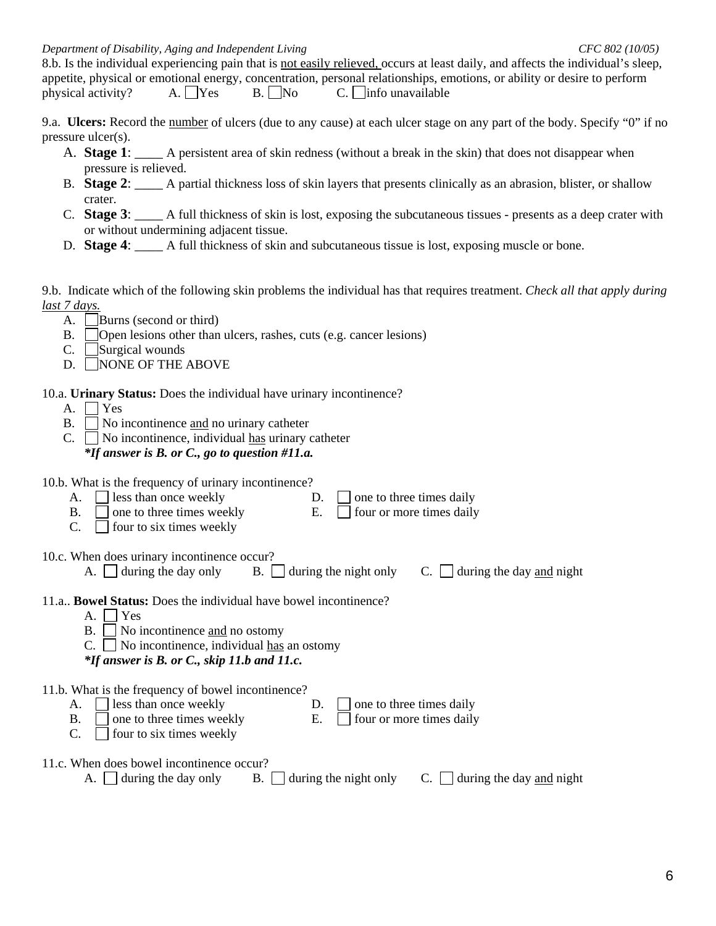8.b. Is the individual experiencing pain that is not easily relieved, occurs at least daily, and affects the individual's sleep, appetite, physical or emotional energy, concentration, personal relationships, emotions, or ability or desire to perform physical activity? A.  $\Box$  Yes B.  $\Box$  No C.  $\Box$  info unavailable

9.a. **Ulcers:** Record the number of ulcers (due to any cause) at each ulcer stage on any part of the body. Specify "0" if no pressure ulcer(s).

- A. **Stage 1**: \_\_\_\_ A persistent area of skin redness (without a break in the skin) that does not disappear when pressure is relieved.
- B. **Stage 2**: \_\_\_\_ A partial thickness loss of skin layers that presents clinically as an abrasion, blister, or shallow crater.
- C. **Stage 3**: \_\_\_\_ A full thickness of skin is lost, exposing the subcutaneous tissues presents as a deep crater with or without undermining adjacent tissue.
- D. **Stage 4:** A full thickness of skin and subcutaneous tissue is lost, exposing muscle or bone.

9.b. Indicate which of the following skin problems the individual has that requires treatment. *Check all that apply during last 7 days.*

- A. | Burns (second or third)
- B. Open lesions other than ulcers, rashes, cuts (e.g. cancer lesions)
- $C.$  Surgical wounds
- D. NONE OF THE ABOVE

10.a. **Urinary Status:** Does the individual have urinary incontinence?

- A.  $\Box$  Yes
- $B. \Box$  No incontinence and no urinary catheter
- $C. \Box$  No incontinence, individual has urinary catheter

*\*If answer is B. or C., go to question #11.a.* 

| 10.b. What is the frequency of urinary incontinence?<br>less than once weekly<br>one to three times daily<br>D.<br>А.<br>Ε.<br>four or more times daily<br>Β.<br>one to three times weekly<br>C.<br>four to six times weekly   |
|--------------------------------------------------------------------------------------------------------------------------------------------------------------------------------------------------------------------------------|
| 10.c. When does urinary incontinence occur?<br>during the day only<br>during the day and night<br>B.<br>during the night only<br>А.<br>C.                                                                                      |
| 11.a., <b>Bowel Status:</b> Does the individual have bowel incontinence?<br>Yes<br>А.<br>Β.<br>No incontinence and no ostomy<br>No incontinence, individual has an ostomy<br>C.<br>*If answer is B. or C., skip 11.b and 11.c. |
| 11.b. What is the frequency of bowel incontinence?<br>less than once weekly<br>one to three times daily<br>D.<br>А.<br>Ε.<br>one to three times weekly<br>four or more times daily<br>В.<br>C.<br>four to six times weekly     |
| 11.c. When does bowel incontinence occur?<br>during the day and night<br>during the day only<br>Β.<br>during the night only<br>A.                                                                                              |